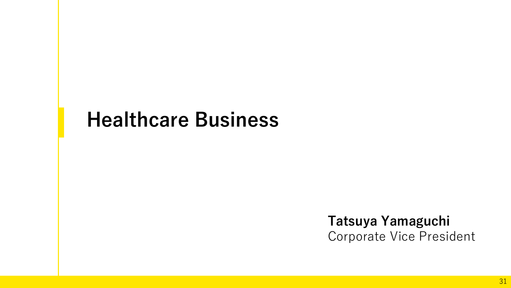# **Healthcare Business**

# **Tatsuya Yamaguchi** Corporate Vice President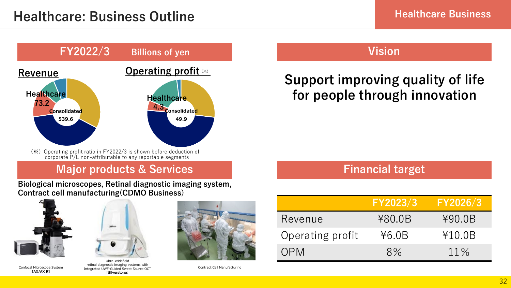

(※) Operating profit ratio in FY2022/3 is shown before deduction of corporate P/L non-attributable to any reportable segments

## **Major products & Services**

**Biological microscopes, Retinal diagnostic imaging system, Contract cell manufacturing(CDMO Business)**



**[AX/AX R]**



Confocal Microscope System Contract Cell Manufacturing Integrated UWF-Guided Swept Source OCT retinal diagnostic imaging systems with **「Silverstone」**



## **Vision**

# **Support improving quality of life for people through innovation**

## **Financial target**

|                  | FY2023/3 | <b>FY2026/3</b> |
|------------------|----------|-----------------|
| Revenue          | ¥80.0B   | ¥90.0B          |
| Operating profit | 46.0B    | ¥10.0B          |
| OPM              | 8%       | $11\%$          |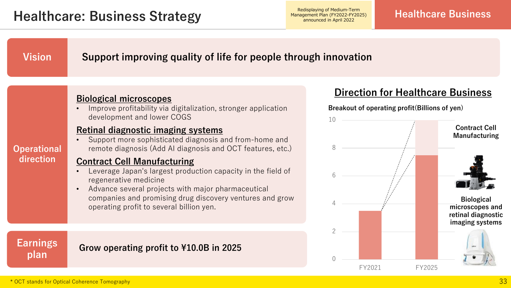Management Plan (FY2022-FY2025) announced in April 2022

### **Vision Support improving quality of life for people through innovation**

## **Biological microscopes**

• Improve profitability via digitalization, stronger application development and lower COGS

### **Retinal diagnostic imaging systems**

• Support more sophisticated diagnosis and from-home and remote diagnosis (Add AI diagnosis and OCT features, etc.)

### **Contract Cell Manufacturing**

- Leverage Japan's largest production capacity in the field of regenerative medicine
- Advance several projects with major pharmaceutical companies and promising drug discovery ventures and grow operating profit to several billion yen.

## **Earnings plan**

**Operational direction**

## **Grow operating profit to ¥10.0B in 2025**

## **Direction for Healthcare Business**

**Breakout of operating profit(Billions of yen)**

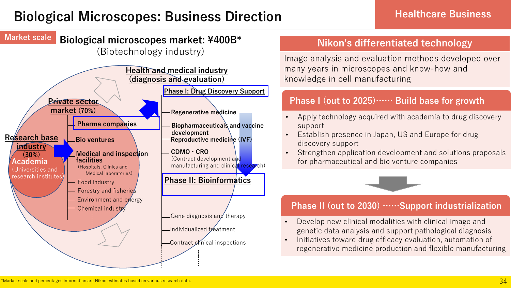# **Biological Microscopes: Business Direction Microscopes: Business Direction**

### **Biological microscopes market: ¥400B\* Market scale**

(Biotechnology industry)



## **Nikon's differentiated technology**

Image analysis and evaluation methods developed over many years in microscopes and know-how and knowledge in cell manufacturing

### **Phase I (out to 2025)…… Build base for growth**

- Apply technology acquired with academia to drug discovery support
- Establish presence in Japan, US and Europe for drug discovery support
- Strengthen application development and solutions proposals for pharmaceutical and bio venture companies



## **Phase II (out to 2030) ……Support industrialization**

- Develop new clinical modalities with clinical image and genetic data analysis and support pathological diagnosis
- Initiatives toward drug efficacy evaluation, automation of regenerative medicine production and flexible manufacturing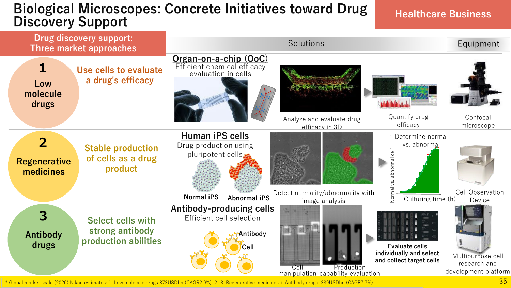## **Biological Microscopes: Concrete Initiatives toward Drug Discovery Support Contracts Hillianves** toward Diug and Healthcare Business **Discovery Support**



\* Global market scale (2020) Nikon estimates: 1. Low molecule drugs 873USDbn (CAGR2.9%). 2+3. Regenerative medicines + Antibody drugs: 389USDbn (CAGR7.7%)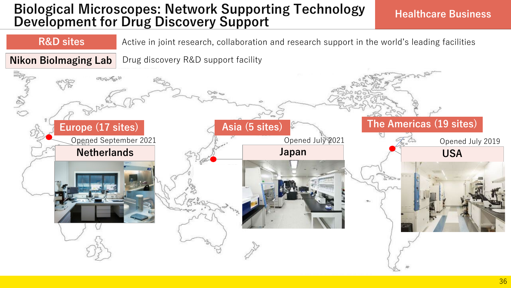## **Biological Microscopes: Network Supporting Technology Divident interest operative computers** is the Healthcare Business **Development for Drug Discovery Support**

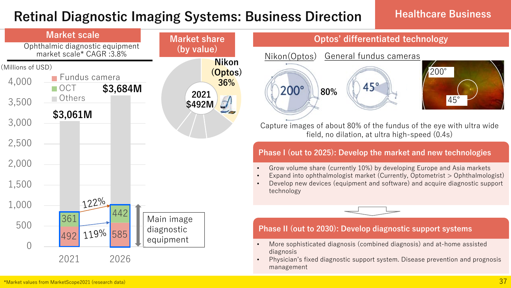## **Retinal Diagnostic Imaging Systems: Business Direction | Healthcare Business**

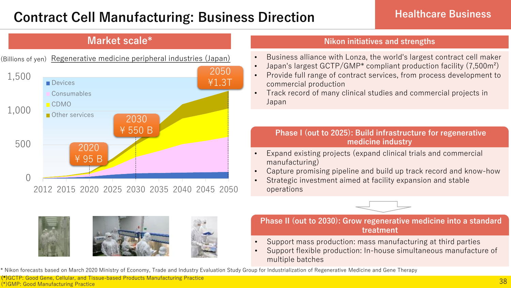# **Contract Cell Manufacturing: Business Direction Healthcare Business**

## **Market scale\***

![](_page_7_Figure_3.jpeg)

![](_page_7_Picture_4.jpeg)

### **Nikon initiatives and strengths**

- Business alliance with Lonza, the world's largest contract cell maker
- Japan's largest GCTP/GMP\* compliant production facility (7,500m²)
- Provide full range of contract services, from process development to commercial production
- Track record of many clinical studies and commercial projects in Japan

### **Phase I (out to 2025): Build infrastructure for regenerative medicine industry**

- Expand existing projects (expand clinical trials and commercial manufacturing)
- Capture promising pipeline and build up track record and know-how
- Strategic investment aimed at facility expansion and stable operations

![](_page_7_Picture_14.jpeg)

**Phase II (out to 2030): Grow regenerative medicine into a standard treatment**

- Support mass production: mass manufacturing at third parties
- Support flexible production: In-house simultaneous manufacture of multiple batches

\* Nikon forecasts based on March 2020 Ministry of Economy, Trade and Industry Evaluation Study Group for Industrialization of Regenerative Medicine and Gene Therapy

**(\*)**GCTP: Good Gene, Cellular, and Tissue-based Products Manufacturing Practice (\*)GMP: Good Manufacturing Practice